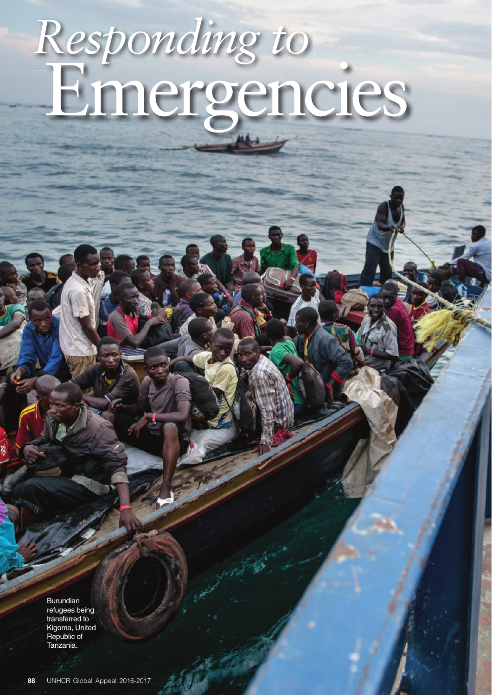# Emergencies *Responding to*

Burundian refugees being transferred to Kigoma, United Republic of Tanzania.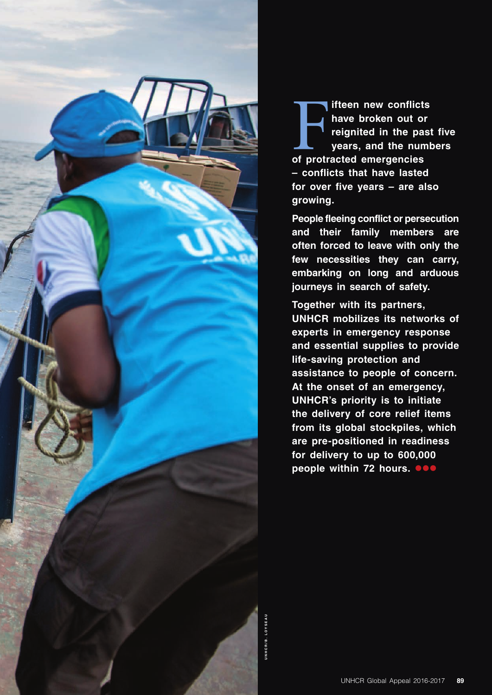

**Figure 15 III States III States III States III States III States III States III States III States III States III States III States III States III States III States III States III States III States III States III States II ifteen new conflicts**  have broken out or **reignited in the past five years, and the numbers – conflicts that have lasted**  for over five vears – are also **growing.** 

**People fleeing conflict or persecution and their family members are**  often forced to leave with only the few necessities they can carry, **embarking on long and arduous**  journeys in search of safety.

**Together with its partners, UNHCR mobilizes its networks of**  experts in emergency response **and essential supplies to provide life-saving protection and** assistance to people of concern. At the onset of an emergency, **UNHCR's priority is to initiate** the delivery of core relief items from its global stockpiles, which are pre-positioned in readiness for delivery to up to 600,000 **people within 72 hours.**  $\bullet \bullet \bullet$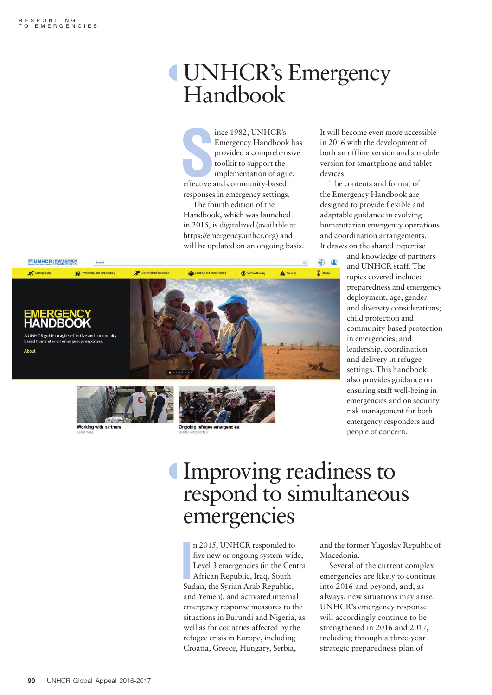## º UNHCR's Emergency Handbook

France 1982, UNHCR's<br>
Emergency Handbook<br>
provided a comprehen<br>
toolkit to support the<br>
implementation of agil<br>
effective and community-based ince 1982, UNHCR's Emergency Handbook has provided a comprehensive toolkit to support the implementation of agile, responses in emergency settings. The fourth edition of the Handbook, which was launched in 2015, is digitalized (available at https://emergency.unhcr.org) and

will be updated on an ongoing basis.

It will become even more accessible in 2016 with the development of both an offline version and a mobile version for smartphone and tablet devices.

The contents and format of the Emergency Handbook are designed to provide flexible and adaptable guidance in evolving humanitarian emergency operations and coordination arrangements. It draws on the shared expertise

> and knowledge of partners and UNHCR staff. The topics covered include: preparedness and emergency deployment; age, gender and diversity considerations; child protection and community-based protection in emergencies; and leadership, coordination and delivery in refugee settings. This handbook also provides guidance on ensuring staff well-being in emergencies and on security risk management for both emergency responders and people of concern.



Working with partners

Ongoing refugee emerg

Improving readiness to respond to simultaneous emergencies

n 2015, UNHCR responded to<br>
five new or ongoing system-wic<br>
Level 3 emergencies (in the Cen<br>
African Republic, Iraq, South<br>
Sudan, the Syrian Arab Republic, n 2015, UNHCR responded to five new or ongoing system-wide, Level 3 emergencies (in the Central African Republic, Iraq, South and Yemen), and activated internal emergency response measures to the situations in Burundi and Nigeria, as well as for countries affected by the refugee crisis in Europe, including Croatia, Greece, Hungary, Serbia,

and the former Yugoslav Republic of Macedonia.

Several of the current complex emergencies are likely to continue into 2016 and beyond, and, as always, new situations may arise. UNHCR's emergency response will accordingly continue to be strengthened in 2016 and 2017, including through a three-year strategic preparedness plan of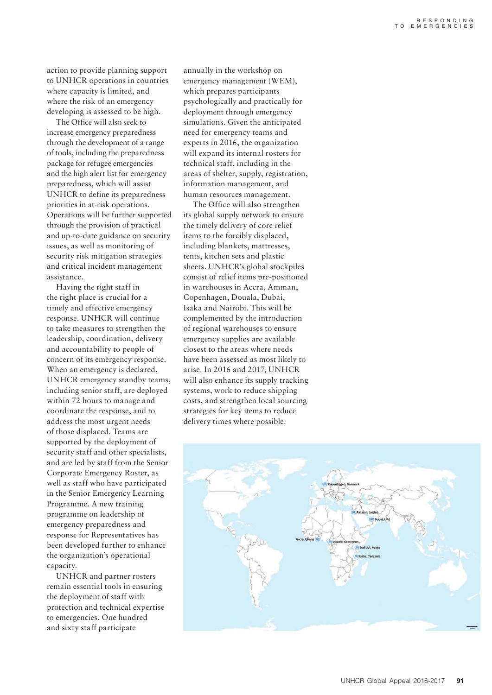action to provide planning support to UNHCR operations in countries where capacity is limited, and where the risk of an emergency developing is assessed to be high.

The Office will also seek to increase emergency preparedness through the development of a range of tools, including the preparedness package for refugee emergencies and the high alert list for emergency preparedness, which will assist UNHCR to define its preparedness priorities in at-risk operations. Operations will be further supported through the provision of practical and up-to-date guidance on security issues, as well as monitoring of security risk mitigation strategies and critical incident management assistance.

Having the right staff in the right place is crucial for a timely and effective emergency response. UNHCR will continue to take measures to strengthen the leadership, coordination, delivery and accountability to people of concern of its emergency response. When an emergency is declared, UNHCR emergency standby teams, including senior staff, are deployed within 72 hours to manage and coordinate the response, and to address the most urgent needs of those displaced. Teams are supported by the deployment of security staff and other specialists, and are led by staff from the Senior Corporate Emergency Roster, as well as staff who have participated in the Senior Emergency Learning Programme. A new training programme on leadership of emergency preparedness and response for Representatives has been developed further to enhance the organization's operational capacity.

UNHCR and partner rosters remain essential tools in ensuring the deployment of staff with protection and technical expertise to emergencies. One hundred and sixty staff participate

annually in the workshop on emergency management (WEM), which prepares participants psychologically and practically for deployment through emergency simulations. Given the anticipated need for emergency teams and experts in 2016, the organization will expand its internal rosters for technical staff, including in the areas of shelter, supply, registration, information management, and human resources management.

The Office will also strengthen its global supply network to ensure the timely delivery of core relief items to the forcibly displaced, including blankets, mattresses, tents, kitchen sets and plastic sheets. UNHCR's global stockpiles consist of relief items pre-positioned in warehouses in Accra, Amman, Copenhagen, Douala, Dubai, Isaka and Nairobi. This will be complemented by the introduction of regional warehouses to ensure emergency supplies are available closest to the areas where needs have been assessed as most likely to arise. In 2016 and 2017, UNHCR will also enhance its supply tracking systems, work to reduce shipping costs, and strengthen local sourcing strategies for key items to reduce delivery times where possible.

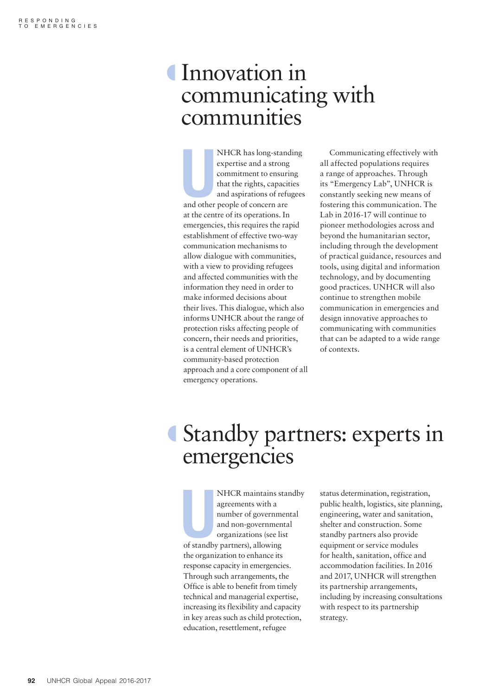## º Innovation in communicating with communities

NHCR has long-stand<br>expertise and a strong<br>commitment to ensuri<br>that the rights, capacit<br>and aspirations of refu<br>and other people of concern are NHCR has long-standing expertise and a strong commitment to ensuring that the rights, capacities and aspirations of refugees at the centre of its operations. In emergencies, this requires the rapid establishment of effective two-way communication mechanisms to allow dialogue with communities, with a view to providing refugees and affected communities with the information they need in order to make informed decisions about their lives. This dialogue, which also informs UNHCR about the range of protection risks affecting people of concern, their needs and priorities, is a central element of UNHCR's community-based protection approach and a core component of all emergency operations.

Communicating effectively with all affected populations requires a range of approaches. Through its "Emergency Lab", UNHCR is constantly seeking new means of fostering this communication. The Lab in 2016-17 will continue to pioneer methodologies across and beyond the humanitarian sector, including through the development of practical guidance, resources and tools, using digital and information technology, and by documenting good practices. UNHCR will also continue to strengthen mobile communication in emergencies and design innovative approaches to communicating with communities that can be adapted to a wide range of contexts.

## º Standby partners: experts in emergencies

NHCR maintains st<br>agreements with a<br>number of governme<br>and non-governmen<br>organizations (see list<br>of standby partners), allowing NHCR maintains standby agreements with a number of governmental and non-governmental organizations (see list the organization to enhance its response capacity in emergencies. Through such arrangements, the Office is able to benefit from timely technical and managerial expertise, increasing its flexibility and capacity in key areas such as child protection, education, resettlement, refugee

status determination, registration, public health, logistics, site planning, engineering, water and sanitation, shelter and construction. Some standby partners also provide equipment or service modules for health, sanitation, office and accommodation facilities. In 2016 and 2017, UNHCR will strengthen its partnership arrangements, including by increasing consultations with respect to its partnership strategy.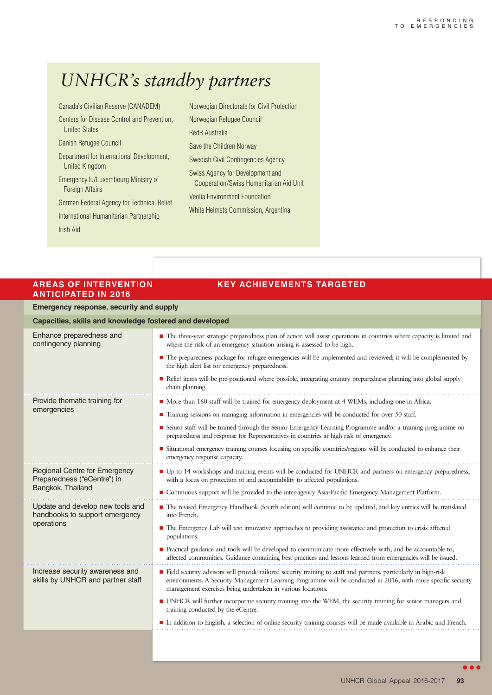## *UNHCR's standby partners*

Canada's Civilian Reserve (CANADEM)

Centers for Disease Control and Prevention, United States

Danish Refugee Council

Department for International Development, United Kingdom

Emergency.lu/Luxembourg Ministry of Foreign Affairs

German Federal Agency for Technical Relief

International Humanitarian Partnership

Irish Aid

Norwegian Directorate for Civil Protection Norwegian Refugee Council RedR Australia Save the Children Norway Swedish Civil Contingencies Agency Swiss Agency for Development and Cooperation/Swiss Humanitarian Aid Unit Veolia Environment Foundation White Helmets Commission, Argentina

#### **AREAS OF INTERVENTION KEY ACHIEVEMENTS TARGETED ANTICIPATED IN 2016**

### **Emergency response, security and supply**

| Capacities, skills and knowledge fostered and developed                                  |                                                                                                                                                                                                                                                                                                  |
|------------------------------------------------------------------------------------------|--------------------------------------------------------------------------------------------------------------------------------------------------------------------------------------------------------------------------------------------------------------------------------------------------|
| Enhance preparedness and<br>contingency planning                                         | • The three-year strategic preparedness plan of action will assist operations in countries where capacity is limited and<br>where the risk of an emergency situation arising is assessed to be high.                                                                                             |
|                                                                                          | • The preparedness package for refugee emergencies will be implemented and reviewed; it will be complemented by<br>the high alert list for emergency preparedness.                                                                                                                               |
|                                                                                          | Relief items will be pre-positioned where possible, integrating country preparedness planning into global supply<br>chain planning.                                                                                                                                                              |
| Provide thematic training for<br>emergencies                                             | • More than 160 staff will be trained for emergency deployment at 4 WEMs, including one in Africa.                                                                                                                                                                                               |
|                                                                                          | ■ Training sessions on managing information in emergencies will be conducted for over 50 staff.                                                                                                                                                                                                  |
|                                                                                          | ■ Senior staff will be trained through the Senior Emergency Learning Programme and/or a training programme on<br>preparedness and response for Representatives in countries at high risk of emergency.                                                                                           |
|                                                                                          | • Situational emergency training courses focusing on specific countries/regions will be conducted to enhance their<br>emergency response capacity.                                                                                                                                               |
| <b>Regional Centre for Emergency</b><br>Preparedness ("eCentre") in<br>Bangkok, Thailand | ■ Up to 14 workshops and training events will be conducted for UNHCR and partners on emergency preparedness,<br>with a focus on protection of and accountability to affected populations.                                                                                                        |
|                                                                                          | • Continuous support will be provided to the inter-agency Asia-Pacific Emergency Management Platform.                                                                                                                                                                                            |
| Update and develop new tools and<br>handbooks to support emergency<br>operations         | ■ The revised Emergency Handbook (fourth edition) will continue to be updated, and key entries will be translated<br>into French.                                                                                                                                                                |
|                                                                                          | • The Emergency Lab will test innovative approaches to providing assistance and protection to crisis affected<br>populations.                                                                                                                                                                    |
|                                                                                          | <b>Practical guidance and tools will be developed to communicate more effectively with, and be accountable to,</b><br>affected communities. Guidance containing best practices and lessons learned from emergencies will be issued.                                                              |
| Increase security awareness and<br>skills by UNHCR and partner staff                     | Field security advisors will provide tailored security training to staff and partners, particularly in high-risk<br>environments. A Security Management Learning Programme will be conducted in 2016, with more specific security<br>management exercises being undertaken in various locations. |
|                                                                                          | • UNHCR will further incorporate security training into the WEM, the security training for senior managers and<br>training conducted by the eCentre.                                                                                                                                             |
|                                                                                          | In addition to English, a selection of online security training courses will be made available in Arabic and French.                                                                                                                                                                             |
|                                                                                          |                                                                                                                                                                                                                                                                                                  |

 $\bullet\bullet\bullet$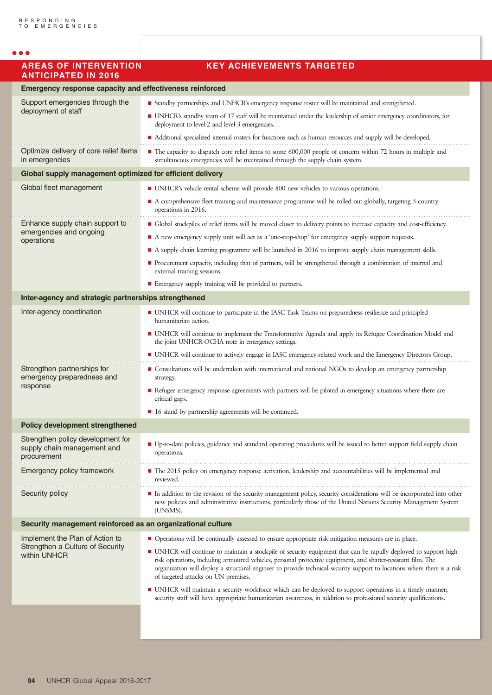| <b>AREAS OF INTERVENTION</b><br><b>ANTICIPATED IN 2016</b>                          | <b>KEY ACHIEVEMENTS TARGETED</b>                                                                                                                                                                                                                                                                                                                                                                    |
|-------------------------------------------------------------------------------------|-----------------------------------------------------------------------------------------------------------------------------------------------------------------------------------------------------------------------------------------------------------------------------------------------------------------------------------------------------------------------------------------------------|
| <b>Emergency response capacity and effectiveness reinforced</b>                     |                                                                                                                                                                                                                                                                                                                                                                                                     |
| Support emergencies through the<br>deployment of staff                              | ■ Standby partnerships and UNHCR's emergency response roster will be maintained and strengthened.                                                                                                                                                                                                                                                                                                   |
|                                                                                     | • UNHCR's standby team of 17 staff will be maintained under the leadership of senior emergency coordinators, for<br>deployment to level-2 and level-3 emergencies.                                                                                                                                                                                                                                  |
|                                                                                     | • Additional specialized internal rosters for functions such as human resources and supply will be developed.                                                                                                                                                                                                                                                                                       |
| Optimize delivery of core relief items<br>in emergencies                            | The capacity to dispatch core relief items to some 600,000 people of concern within 72 hours in multiple and<br>simultaneous emergencies will be maintained through the supply chain system.                                                                                                                                                                                                        |
| Global supply management optimized for efficient delivery                           |                                                                                                                                                                                                                                                                                                                                                                                                     |
| Global fleet management                                                             | ■ UNHCR's vehicle rental scheme will provide 800 new vehicles to various operations.                                                                                                                                                                                                                                                                                                                |
|                                                                                     | • A comprehensive fleet training and maintenance programme will be rolled out globally, targeting 5 country<br>operations in 2016.                                                                                                                                                                                                                                                                  |
| Enhance supply chain support to<br>emergencies and ongoing<br>operations            | • Global stockpiles of relief items will be moved closer to delivery points to increase capacity and cost-efficiency.                                                                                                                                                                                                                                                                               |
|                                                                                     | A new emergency supply unit will act as a 'one-stop-shop' for emergency supply support requests.                                                                                                                                                                                                                                                                                                    |
|                                                                                     | A supply chain learning programme will be launched in 2016 to improve supply chain management skills.                                                                                                                                                                                                                                                                                               |
|                                                                                     | Procurement capacity, including that of partners, will be strengthened through a combination of internal and<br>external training sessions.                                                                                                                                                                                                                                                         |
|                                                                                     | Emergency supply training will be provided to partners.                                                                                                                                                                                                                                                                                                                                             |
| Inter-agency and strategic partnerships strengthened                                |                                                                                                                                                                                                                                                                                                                                                                                                     |
| Inter-agency coordination                                                           | • UNHCR will continue to participate in the IASC Task Teams on preparedness resilience and principled<br>humanitarian action.                                                                                                                                                                                                                                                                       |
|                                                                                     | • UNHCR will continue to implement the Transformative Agenda and apply its Refugee Coordination Model and<br>the joint UNHCR-OCHA note in emergency settings.                                                                                                                                                                                                                                       |
|                                                                                     | • UNHCR will continue to actively engage in IASC emergency-related work and the Emergency Directors Group.                                                                                                                                                                                                                                                                                          |
| Strengthen partnerships for<br>emergency preparedness and<br>response               | • Consultations will be undertaken with international and national NGOs to develop an emergency partnership<br>strategy.                                                                                                                                                                                                                                                                            |
|                                                                                     | Refugee emergency response agreements with partners will be piloted in emergency situations where there are<br>critical gaps.                                                                                                                                                                                                                                                                       |
|                                                                                     | ■ 16 stand-by partnership agreements will be continued.                                                                                                                                                                                                                                                                                                                                             |
| <b>Policy development strengthened</b>                                              |                                                                                                                                                                                                                                                                                                                                                                                                     |
| Strengthen policy development for<br>supply chain management and<br>procurement     | ■ Up-to-date policies, guidance and standard operating procedures will be issued to better support field supply chain<br>operations.                                                                                                                                                                                                                                                                |
| Emergency policy framework                                                          | • The 2015 policy on emergency response activation, leadership and accountabilities will be implemented and<br>reviewed.                                                                                                                                                                                                                                                                            |
| Security policy                                                                     | In addition to the revision of the security management policy, security considerations will be incorporated into other<br>new policies and administrative instructions, particularly those of the United Nations Security Management System<br>(UNSMS).                                                                                                                                             |
| Security management reinforced as an organizational culture                         |                                                                                                                                                                                                                                                                                                                                                                                                     |
| Implement the Plan of Action to<br>Strengthen a Culture of Security<br>within UNHCR | • Operations will be continually assessed to ensure appropriate risk mitigation measures are in place.                                                                                                                                                                                                                                                                                              |
|                                                                                     | • UNHCR will continue to maintain a stockpile of security equipment that can be rapidly deployed to support high-<br>risk operations, including armoured vehicles, personal protective equipment, and shatter-resistant film. The<br>organization will deploy a structural engineer to provide technical security support to locations where there is a risk<br>of targeted attacks on UN premises. |
|                                                                                     | • UNHCR will maintain a security workforce which can be deployed to support operations in a timely manner;<br>security staff will have appropriate humanitarian awareness, in addition to professional security qualifications.                                                                                                                                                                     |
|                                                                                     |                                                                                                                                                                                                                                                                                                                                                                                                     |